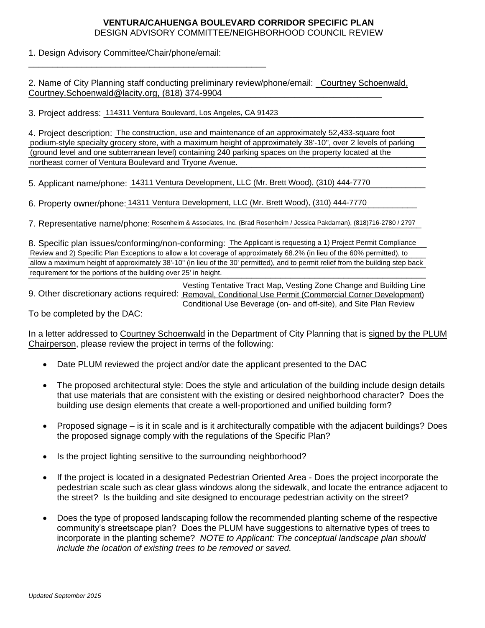## **VENTURA/CAHUENGA BOULEVARD CORRIDOR SPECIFIC PLAN** DESIGN ADVISORY COMMITTEE/NEIGHBORHOOD COUNCIL REVIEW

1. Design Advisory Committee/Chair/phone/email:

2. Name of City Planning staff conducting preliminary review/phone/email: \_Courtney Schoenwald, Courtney.Schoenwald@lacity.org, (818) 374-9904

3. Project address: 114311 Ventura Boulevard, Los Angeles, CA 91423 [2010] [2010] [2010] [2010] [2010] [2010] [

\_\_\_\_\_\_\_\_\_\_\_\_\_\_\_\_\_\_\_\_\_\_\_\_\_\_\_\_\_\_\_\_\_\_\_\_\_\_\_\_\_\_\_\_\_\_\_\_\_

4. Project description: The construction, use and maintenance of an approximately 52,433-square foot podium-style specialty grocery store, with a maximum height of approximately 38'-10", over 2 levels of parking (ground level and one subterranean level) containing 240 parking spaces on the property located at the northeast corner of Ventura Boulevard and Tryone Avenue. podium-style specialty grocery store, with a maximum height of approximately 38'-10", over 2 levels of parking<br>(ground level and one subterranean level) containing 240 parking spaces on the property located at the<br>northeas

5. Applicant name/phone: 14311 Ventura Development, LLC (Mr. Brett Wood), (310) 444-7770

6. Property owner/phone: 14311 Ventura Development, LLC (Mr. Brett Wood), (310) 444-7770

7. Representative name/phone: Rosenheim & Associates, Inc. (Brad Rosenheim / Jessica Pakdaman), (818)716-2780 / 2797

8. Specific plan issues/conforming/non-conforming: The Applicant is requesting a 1) Project Permit Compliance Review and 2) Specific Plan Exceptions to allow a lot coverage of approximately 68.2% (in lieu of the 60% permitted), to allow a maximum height of approximately 38'-10" (in lieu of the 30' permitted), and to permit relief from the building step back requirement for the portions of the building over 25' in height. 3. Specific plan issues/conforming/non-conforming: The Applicant is requesting a 1) Project Permit Compliance<br>Review and 2) Specific Plan Exceptions to allow a lot coverage of approximately 68.2% (in lieu of the 60% permit

9. Other discretionary actions required: Removal, Conditional Use Permit (Commercial Corner Development) Vesting Tentative Tract Map, Vesting Zone Change and Building Line Conditional Use Beverage (on- and off-site), and Site Plan Review

To be completed by the DAC:

In a letter addressed to Courtney Schoenwald in the Department of City Planning that is signed by the PLUM Chairperson, please review the project in terms of the following:

- Date PLUM reviewed the project and/or date the applicant presented to the DAC
- The proposed architectural style: Does the style and articulation of the building include design details that use materials that are consistent with the existing or desired neighborhood character? Does the building use design elements that create a well-proportioned and unified building form?
- Proposed signage is it in scale and is it architecturally compatible with the adjacent buildings? Does the proposed signage comply with the regulations of the Specific Plan?
- Is the project lighting sensitive to the surrounding neighborhood?
- If the project is located in a designated Pedestrian Oriented Area Does the project incorporate the pedestrian scale such as clear glass windows along the sidewalk, and locate the entrance adjacent to the street? Is the building and site designed to encourage pedestrian activity on the street?
- Does the type of proposed landscaping follow the recommended planting scheme of the respective community's streetscape plan? Does the PLUM have suggestions to alternative types of trees to incorporate in the planting scheme? *NOTE to Applicant: The conceptual landscape plan should include the location of existing trees to be removed or saved.*